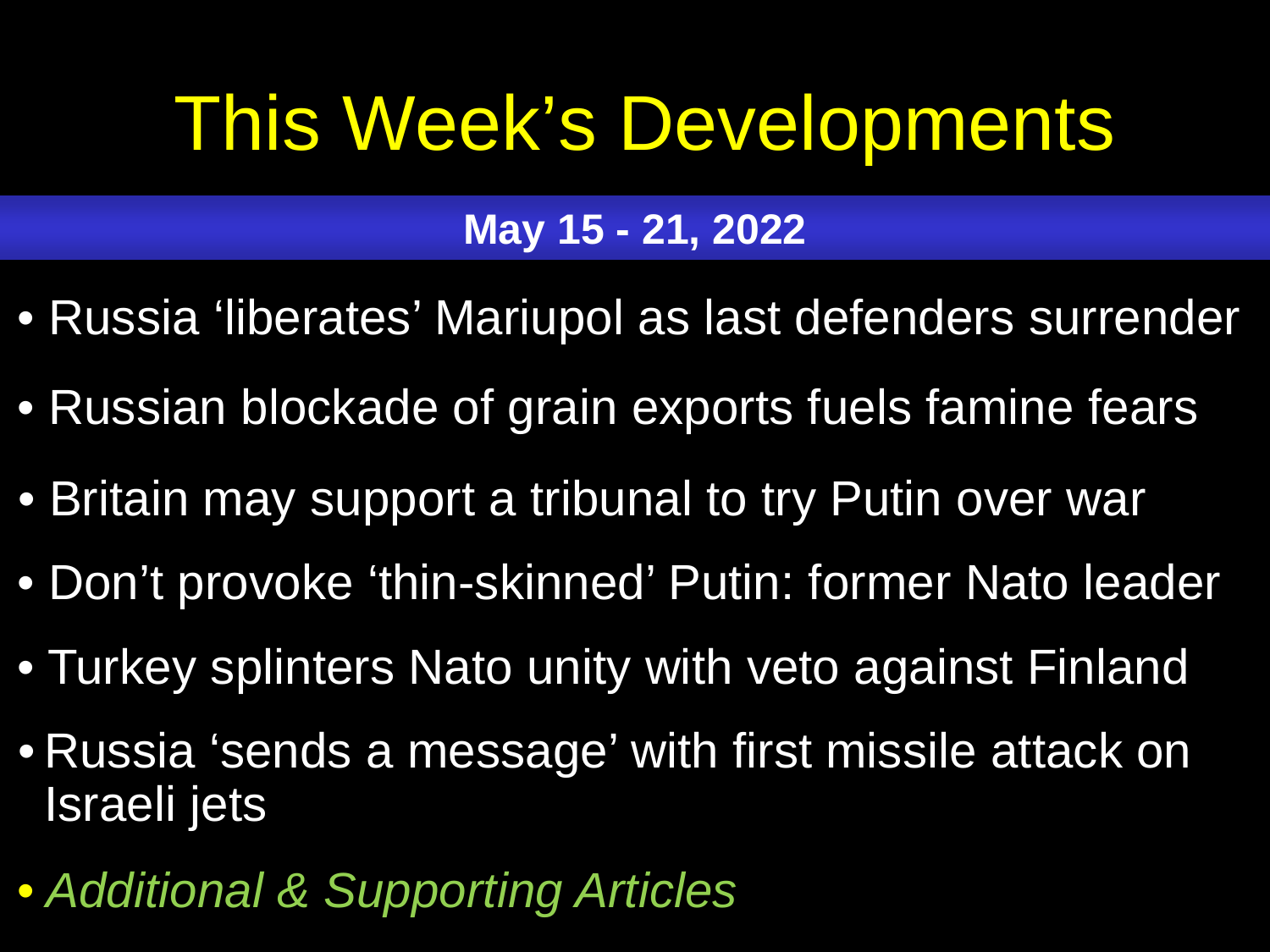# <span id="page-0-0"></span>This Week's Developments

## **May 15 - 21, 2022**

- [Russia 'liberates' Mariupol as last defenders surrender](#page-1-0)
- [Russian blockade of grain exports fuels famine fears](#page-2-0)
- [Britain may support a tribunal to try Putin over war](#page-3-0)
- [Don't provoke 'thin-skinned' Putin: former Nato](#page-4-0) leader
- Turkey splinters Nato [unity with veto against Finland](#page-5-0)
- [Russia 'sends a message' with first missile attack on](#page-6-0)  Israeli jets
- *[Additional & Supporting Articles](#page-7-0)*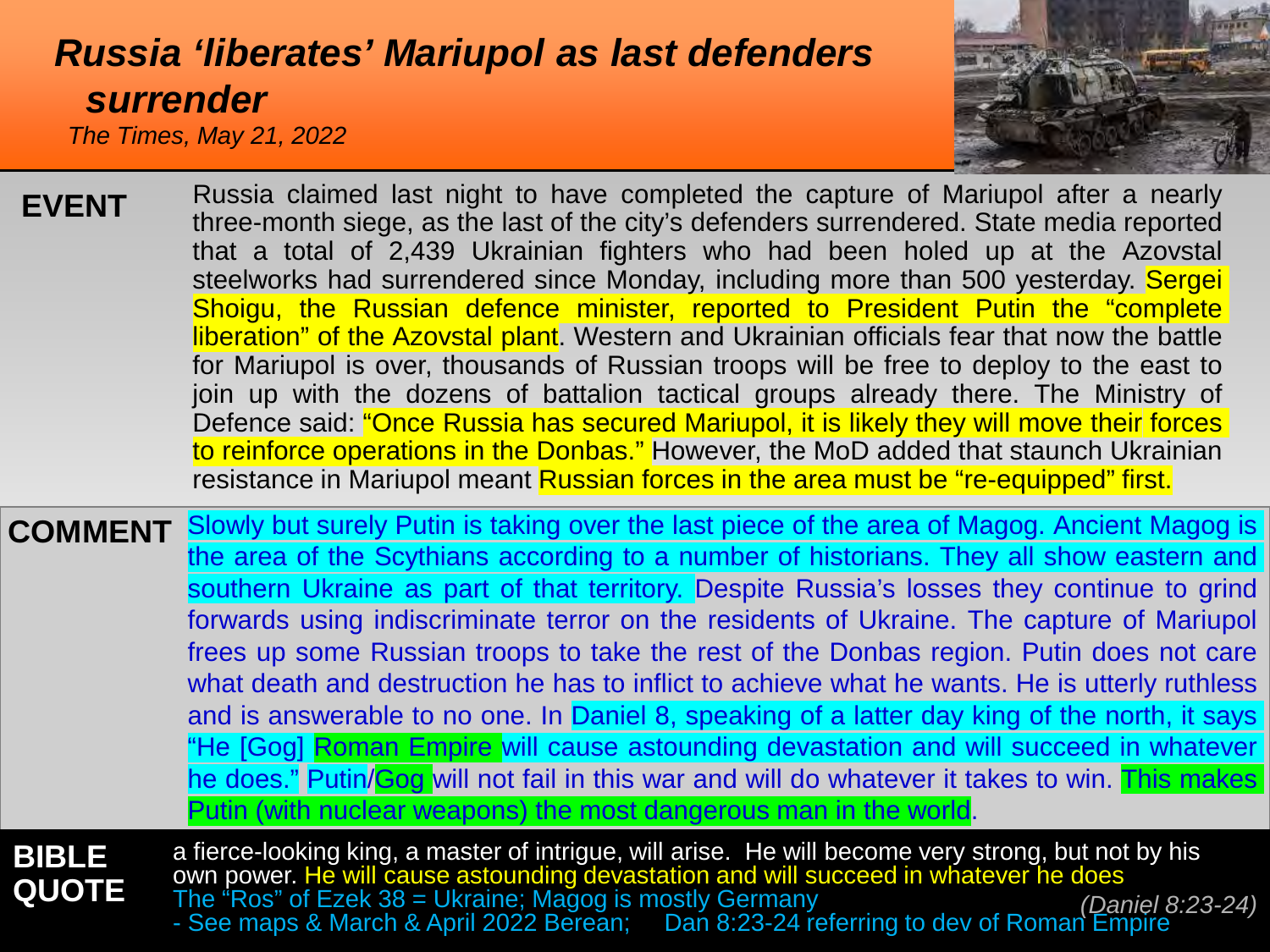#### <span id="page-1-0"></span>*[Russia 'liberates' Mariupol as last defenders](#page-0-0) surrender The Times, May 21, 2022*



Russia claimed last night to have completed the capture of Mariupol after a nearly three-month siege, as the last of the city's defenders surrendered. State media reported that a total of 2,439 Ukrainian fighters who had been holed up at the Azovstal steelworks had surrendered since Monday, including more than 500 yesterday. Sergei Shoigu, the Russian defence minister, reported to President Putin the "complete liberation" of the Azovstal plant. Western and Ukrainian officials fear that now the battle for Mariupol is over, thousands of Russian troops will be free to deploy to the east to join up with the dozens of battalion tactical groups already there. The Ministry of Defence said: "Once Russia has secured Mariupol, it is likely they will move their forces to reinforce operations in the Donbas." However, the MoD added that staunch Ukrainian resistance in Mariupol meant Russian forces in the area must be "re-equipped" first. **EVENT**

**COMMENT** Slowly but surely Putin is taking over the last piece of the area of Magog. Ancient Magog is the area of the Scythians according to a number of historians. They all show eastern and southern Ukraine as part of that territory. Despite Russia's losses they continue to grind forwards using indiscriminate terror on the residents of Ukraine. The capture of Mariupol frees up some Russian troops to take the rest of the Donbas region. Putin does not care what death and destruction he has to inflict to achieve what he wants. He is utterly ruthless and is answerable to no one. In Daniel 8, speaking of a latter day king of the north, it says "He [Gog] Roman Empire will cause astounding devastation and will succeed in whatever he does." Putin/Gog will not fail in this war and will do whatever it takes to win. This makes Putin (with nuclear weapons) the most dangerous man in the world.

**BIBLE QUOTE** a fierce-looking king, a master of intrigue, will arise. He will become very strong, but not by his own power. He will cause astounding devastation and will succeed in whatever he does [The "Ros" of Ezek 38 = Ukraine; Magog is mostly Germany -](#page-10-0) See maps & March & April 2022 Berean; Dan 8:23-24 referring to dev of Roman Empire *(Daniel 8:23-24)*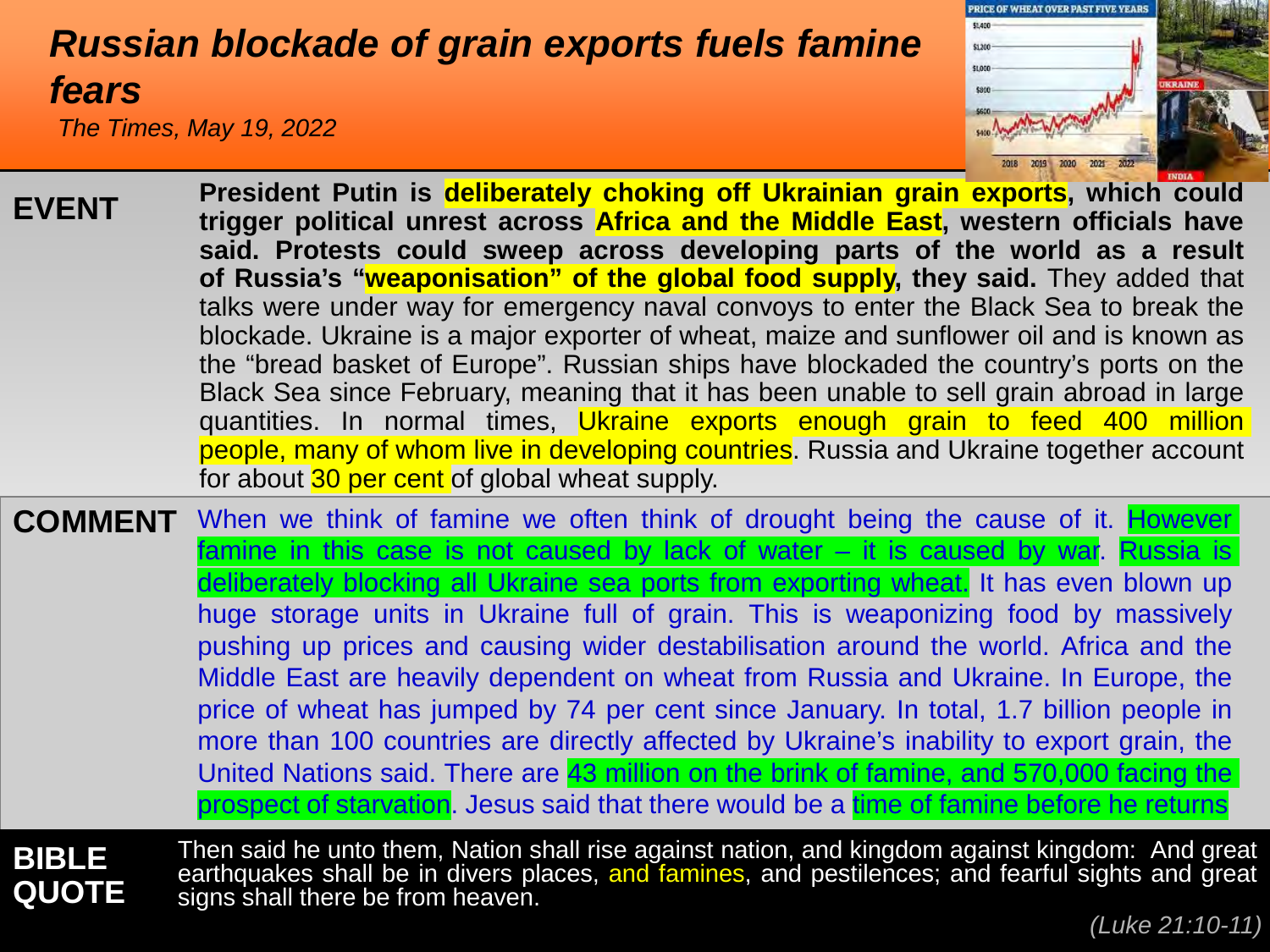#### <span id="page-2-0"></span>*[Russian blockade of grain exports fuels famine](#page-0-0)  fears*

*The Times, May 19, 2022*



| <b>EVENT</b>   | President Putin is deliberately choking off Ukrainian grain exports, which could<br>trigger political unrest across Africa and the Middle East, western officials have<br>said. Protests could sweep across developing parts of the world as a result<br>of Russia's "weaponisation" of the global food supply, they said. They added that<br>talks were under way for emergency naval convoys to enter the Black Sea to break the<br>blockade. Ukraine is a major exporter of wheat, maize and sunflower oil and is known as<br>the "bread basket of Europe". Russian ships have blockaded the country's ports on the<br>Black Sea since February, meaning that it has been unable to sell grain abroad in large<br>quantities. In normal times, Ukraine exports enough grain to feed 400 million<br>people, many of whom live in developing countries. Russia and Ukraine together account<br>for about 30 per cent of global wheat supply. |
|----------------|-----------------------------------------------------------------------------------------------------------------------------------------------------------------------------------------------------------------------------------------------------------------------------------------------------------------------------------------------------------------------------------------------------------------------------------------------------------------------------------------------------------------------------------------------------------------------------------------------------------------------------------------------------------------------------------------------------------------------------------------------------------------------------------------------------------------------------------------------------------------------------------------------------------------------------------------------|
| <b>COMMENT</b> | When we think of famine we often think of drought being the cause of it. However<br>famine in this case is not caused by lack of water $-$ it is caused by war. Russia is<br>deliberately blocking all Ukraine sea ports from exporting wheat. It has even blown up<br>huge storage units in Ukraine full of grain. This is weaponizing food by massively<br>pushing up prices and causing wider destabilisation around the world. Africa and the<br>Middle East are heavily dependent on wheat from Russia and Ukraine. In Europe, the<br>price of wheat has jumped by 74 per cent since January. In total, 1.7 billion people in<br>more than 100 countries are directly affected by Ukraine's inability to export grain, the<br>United Nations said. There are 43 million on the brink of famine, and 570,000 facing the<br>prospect of starvation. Jesus said that there would be a time of famine before he returns                      |

**BIBLE QUOTE** Then said he unto them, Nation shall rise against nation, and kingdom against kingdom: And great earthquakes shall be in divers places, and famines, and pestilences; and fearful sights and great signs shall there be from heaven.

*(Luke 21:10-11)*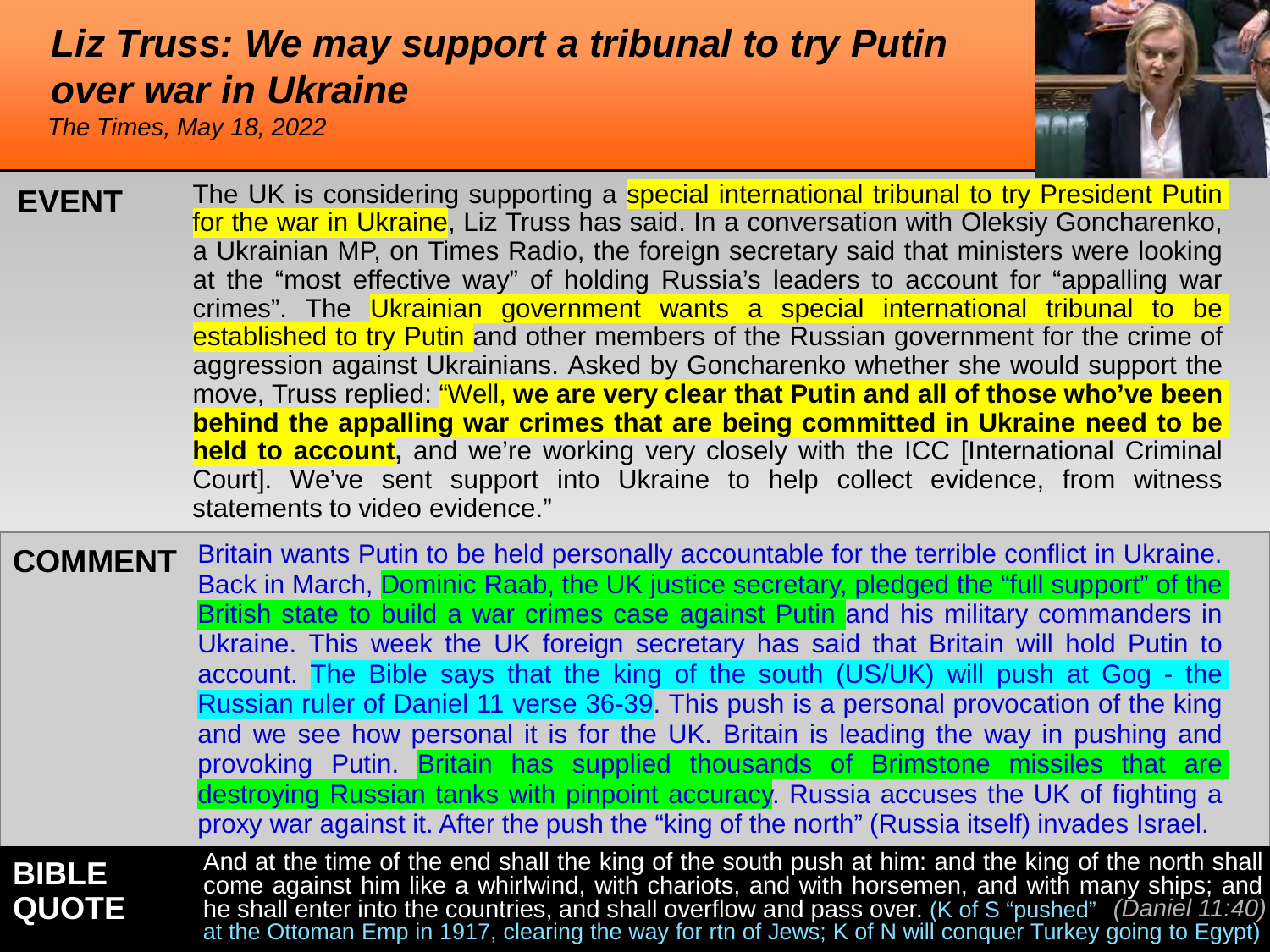#### <span id="page-3-0"></span>*[Liz Truss: We may support a tribunal to try Putin](#page-0-0)  over war in Ukraine*

*The Times, May 18, 2022*



| <b>EVENT</b>   | The UK is considering supporting a special international tribunal to try President Putin<br>for the war in Ukraine, Liz Truss has said. In a conversation with Oleksiy Goncharenko,<br>a Ukrainian MP, on Times Radio, the foreign secretary said that ministers were looking<br>at the "most effective way" of holding Russia's leaders to account for "appalling war<br>crimes". The Ukrainian government wants a special international tribunal to be<br>established to try Putin and other members of the Russian government for the crime of<br>aggression against Ukrainians. Asked by Goncharenko whether she would support the<br>move, Truss replied: "Well, we are very clear that Putin and all of those who've been<br>behind the appalling war crimes that are being committed in Ukraine need to be<br><b>held to account</b> , and we're working very closely with the ICC [International Criminal<br>Court]. We've sent support into Ukraine to help collect evidence, from witness<br>statements to video evidence." |
|----------------|---------------------------------------------------------------------------------------------------------------------------------------------------------------------------------------------------------------------------------------------------------------------------------------------------------------------------------------------------------------------------------------------------------------------------------------------------------------------------------------------------------------------------------------------------------------------------------------------------------------------------------------------------------------------------------------------------------------------------------------------------------------------------------------------------------------------------------------------------------------------------------------------------------------------------------------------------------------------------------------------------------------------------------------|
| <b>COMMENT</b> | Britain wants Putin to be held personally accountable for the terrible conflict in Ukraine.<br>Back in March, Dominic Raab, the UK justice secretary, pledged the "full support" of the<br>British state to build a war crimes case against Putin and his military commanders in<br>Ukraine. This week the UK foreign secretary has said that Britain will hold Putin to<br>account. The Bible says that the king of the south (US/UK) will push at Gog - the<br>Russian ruler of Daniel 11 verse 36-39. This push is a personal provocation of the king<br>and we see how personal it is for the UK. Britain is leading the way in pushing and<br>provoking Putin. Britain has supplied thousands of Brimstone missiles that are<br>destroying Russian tanks with pinpoint accuracy. Russia accuses the UK of fighting a<br>proxy war against it. After the push the "king of the north" (Russia itself) invades Israel.                                                                                                             |
| <b>BIBI F</b>  | And at the time of the end shall the king of the south push at him: and the king of the north sh                                                                                                                                                                                                                                                                                                                                                                                                                                                                                                                                                                                                                                                                                                                                                                                                                                                                                                                                      |

**BIBLE QUOTE** And at the time of the end shall the king of the south push at him: and the king of the north shall come against him like a whirlwind, with chariots, and with horsemen, and with many ships; and he shall enter into the countries, and shall overflow and pass over. (K of S "pushed" *(Daniel 11:40)*<br>at the Ottoman Emp in 1917, clearing the way for rtn of Jews; K of N will conquer Turkey going to Egypt)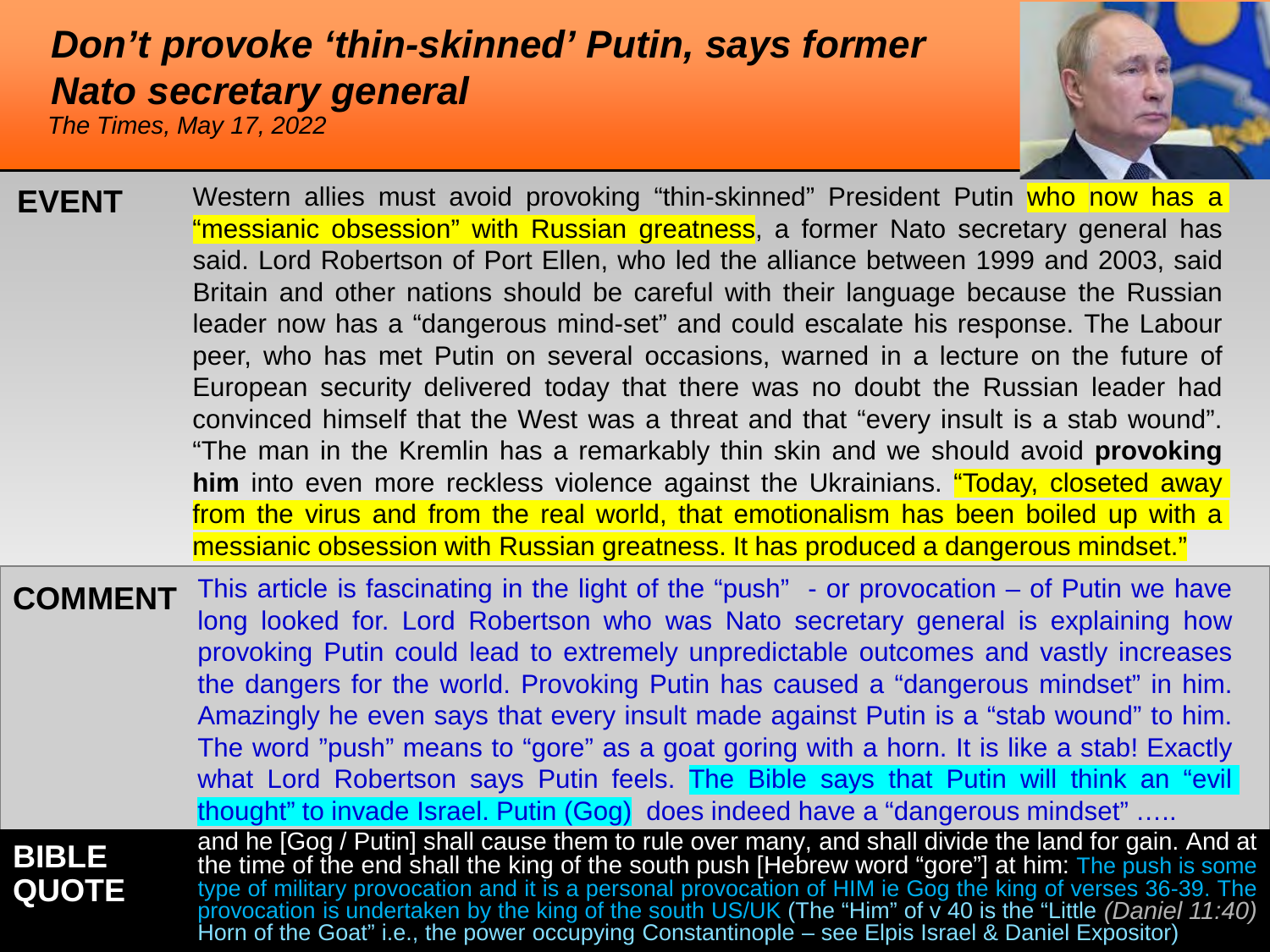#### <span id="page-4-0"></span>*[Don't provoke 'thin-skinned' Putin, says former](#page-0-0)  Nato secretary general*

*The Times, May 17, 2022*



| <b>EVENT</b>                 | Western allies must avoid provoking "thin-skinned" President Putin who now has a<br>"messianic obsession" with Russian greatness, a former Nato secretary general has<br>said. Lord Robertson of Port Ellen, who led the alliance between 1999 and 2003, said<br>Britain and other nations should be careful with their language because the Russian<br>leader now has a "dangerous mind-set" and could escalate his response. The Labour<br>peer, who has met Putin on several occasions, warned in a lecture on the future of<br>European security delivered today that there was no doubt the Russian leader had<br>convinced himself that the West was a threat and that "every insult is a stab wound".<br>"The man in the Kremlin has a remarkably thin skin and we should avoid provoking<br>him into even more reckless violence against the Ukrainians. "Today, closeted away<br>from the virus and from the real world, that emotionalism has been boiled up with a<br>messianic obsession with Russian greatness. It has produced a dangerous mindset." |
|------------------------------|--------------------------------------------------------------------------------------------------------------------------------------------------------------------------------------------------------------------------------------------------------------------------------------------------------------------------------------------------------------------------------------------------------------------------------------------------------------------------------------------------------------------------------------------------------------------------------------------------------------------------------------------------------------------------------------------------------------------------------------------------------------------------------------------------------------------------------------------------------------------------------------------------------------------------------------------------------------------------------------------------------------------------------------------------------------------|
| <b>COMMENT</b>               | This article is fascinating in the light of the "push" - or provocation $-$ of Putin we have<br>long looked for. Lord Robertson who was Nato secretary general is explaining how<br>provoking Putin could lead to extremely unpredictable outcomes and vastly increases<br>the dangers for the world. Provoking Putin has caused a "dangerous mindset" in him.<br>Amazingly he even says that every insult made against Putin is a "stab wound" to him.<br>The word "push" means to "gore" as a goat goring with a horn. It is like a stab! Exactly<br>what Lord Robertson says Putin feels. The Bible says that Putin will think an "evil<br>thought" to invade Israel. Putin (Gog) does indeed have a "dangerous mindset"                                                                                                                                                                                                                                                                                                                                        |
| <b>BIBLE</b><br><b>QUOTE</b> | and he [Gog / Putin] shall cause them to rule over many, and shall divide the land for gain. And at<br>the time of the end shall the king of the south push [Hebrew word "gore"] at him: The push is some<br>type of military provocation and it is a personal provocation of HIM ie Gog the king of verses 36-39. The provocation is undertaken by the king of the south US/UK (The "Him" of v 40 is the "Little (Daniel 11:40)                                                                                                                                                                                                                                                                                                                                                                                                                                                                                                                                                                                                                                   |

Horn of the Goat" i.e., the power occupying Constantinople – see Elpis Israel & Daniel Expositor)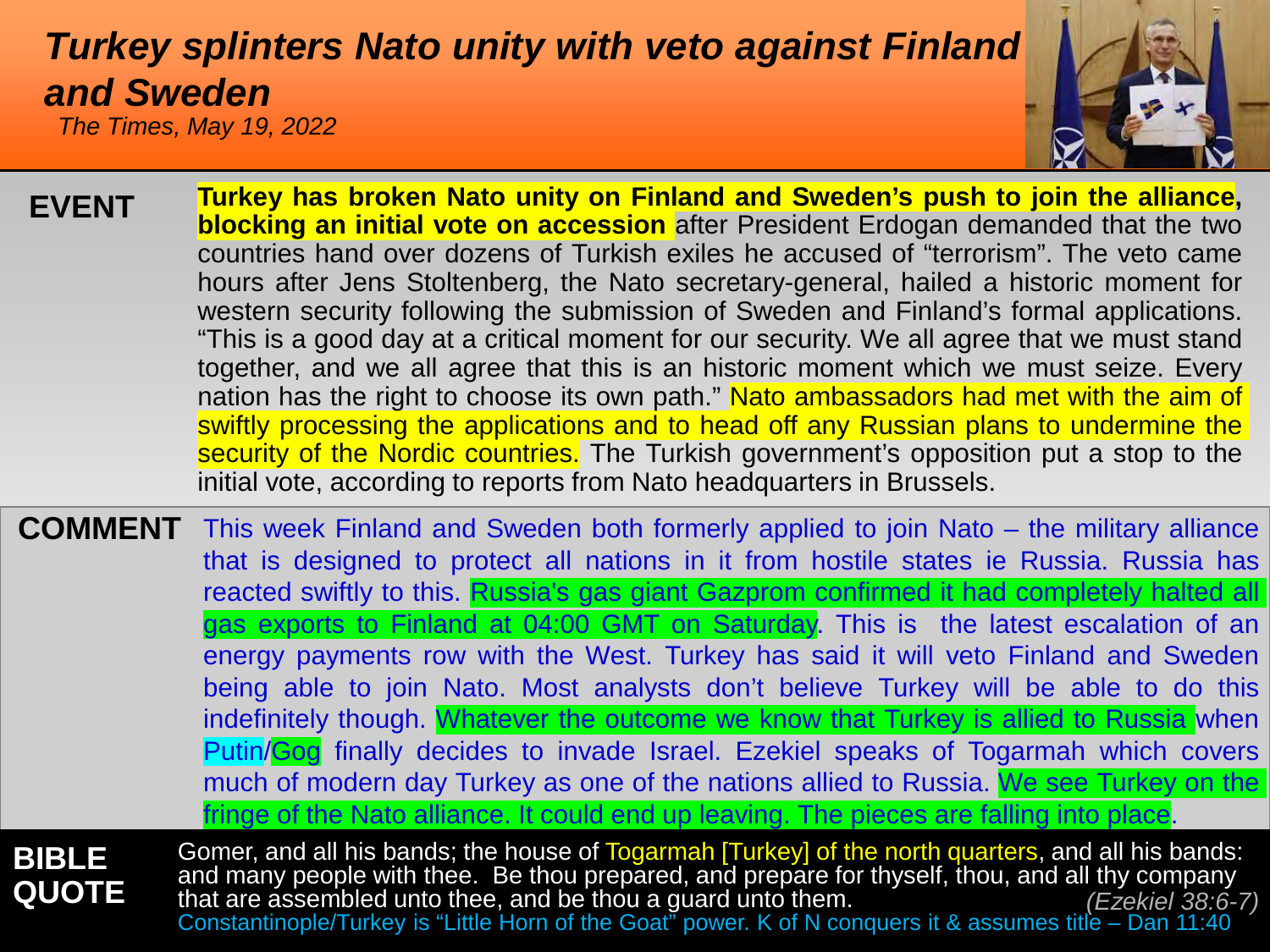### <span id="page-5-0"></span>*[Turkey splinters Nato unity with veto against Finla](#page-0-0)nd and Sweden*

*The Times, May 19, 2022*



- **Turkey has broken Nato unity on Finland and Sweden's push to join the alliance, blocking an initial vote on accession** after President Erdogan demanded that the two countries hand over dozens of Turkish exiles he accused of "terrorism". The veto came hours after Jens Stoltenberg, the Nato secretary-general, hailed a historic moment for western security following the submission of Sweden and Finland's formal applications. "This is a good day at a critical moment for our security. We all agree that we must stand together, and we all agree that this is an historic moment which we must seize. Every nation has the right to choose its own path." Nato ambassadors had met with the aim of swiftly processing the applications and to head off any Russian plans to undermine the security of the Nordic countries. The Turkish government's opposition put a stop to the initial vote, according to reports from Nato headquarters in Brussels. **EVENT**
- **COMMENT** This week Finland and Sweden both formerly applied to join Nato the military alliance **BIBLE** that is designed to protect all nations in it from hostile states ie Russia. Russia has reacted swiftly to this. [Russia's gas giant Gazprom](http://www.snamatlas.it/world_of_gas) confirmed it had completely halted all gas exports to Finland at 04:00 GMT on Saturday. This is the latest escalation of an energy payments row with the West. Turkey has said it will veto Finland and Sweden being able to join Nato. Most analysts don't believe Turkey will be able to do this indefinitely though. Whatever the outcome we know that Turkey is allied to Russia when Putin/Gog finally decides to invade Israel. Ezekiel speaks of Togarmah which covers much of modern day Turkey as one of the nations allied to Russia. We see Turkey on the fringe of the Nato alliance. It could end up leaving. The pieces are falling into place. Gomer, and all his bands; the house of Togarmah [Turkey] of the north quarters, and all his bands:

**QUOTE** and many people with thee. Be thou prepared, and prepare for thyself, thou, and all thy company that are assembled unto thee, and be thou a guard unto them. Constantinople/Turkey is "Little Horn of the Goat" power. K of N conquers it & assumes title – Dan 11:40 *(Ezekiel 38:6-7)*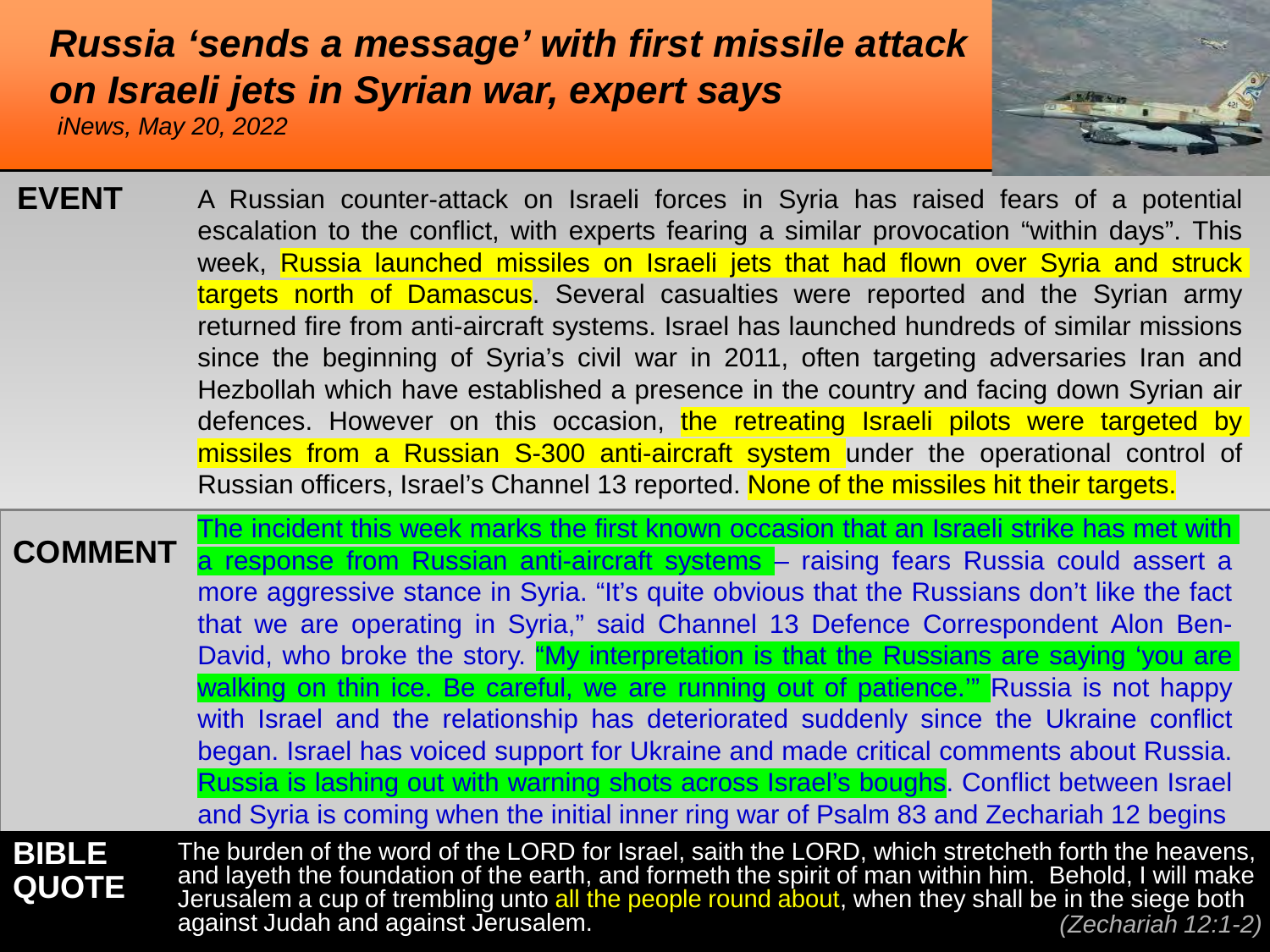#### <span id="page-6-0"></span>*[Russia 'sends a message' with first missile attack](#page-0-0) on Israeli jets in Syrian war, expert says*

*iNews, May 20, 2022*



| <b>EVENT</b> | A Russian counter-attack on Israeli forces in Syria has raised fears of a potential        |
|--------------|--------------------------------------------------------------------------------------------|
|              | escalation to the conflict, with experts fearing a similar provocation "within days". This |
|              | week, Russia launched missiles on Israeli jets that had flown over Syria and struck        |
|              | targets north of Damascus. Several casualties were reported and the Syrian army            |
|              | returned fire from anti-aircraft systems. Israel has launched hundreds of similar missions |
|              | since the beginning of Syria's civil war in 2011, often targeting adversaries Iran and     |
|              | Hezbollah which have established a presence in the country and facing down Syrian air      |
|              | defences. However on this occasion, the retreating Israeli pilots were targeted by         |
|              | missiles from a Russian S-300 anti-aircraft system under the operational control of        |
|              | Russian officers, Israel's Channel 13 reported. None of the missiles hit their targets.    |

**COMMENT BIBLE QUOTE** The incident this week marks the first known occasion that an Israeli strike has met with a response from Russian anti-aircraft systems – raising fears Russia could assert a more aggressive stance in Syria. "It's quite obvious that the Russians don't like the fact that we are operating in Syria," said Channel 13 Defence Correspondent Alon Ben-David, who broke the story. "My interpretation is that the Russians are saying 'you are walking on thin ice. Be careful, we are running out of patience." Russia is not happy with Israel and the relationship has deteriorated suddenly since the Ukraine conflict began. Israel has voiced support for Ukraine and made critical comments about Russia. Russia is lashing out with warning shots across Israel's boughs. Conflict between Israel and Syria is coming when the initial inner ring war of Psalm 83 and Zechariah 12 begins The burden of the word of the LORD for Israel, saith the LORD, which stretcheth forth the heavens, and layeth the foundation of the earth, and formeth the spirit of man within him. Behold, I will make Jerusalem a cup of trembling unto all the people round about, when they shall be in the siege both

against Judah and against Jerusalem. *(Zechariah 12:1-2)*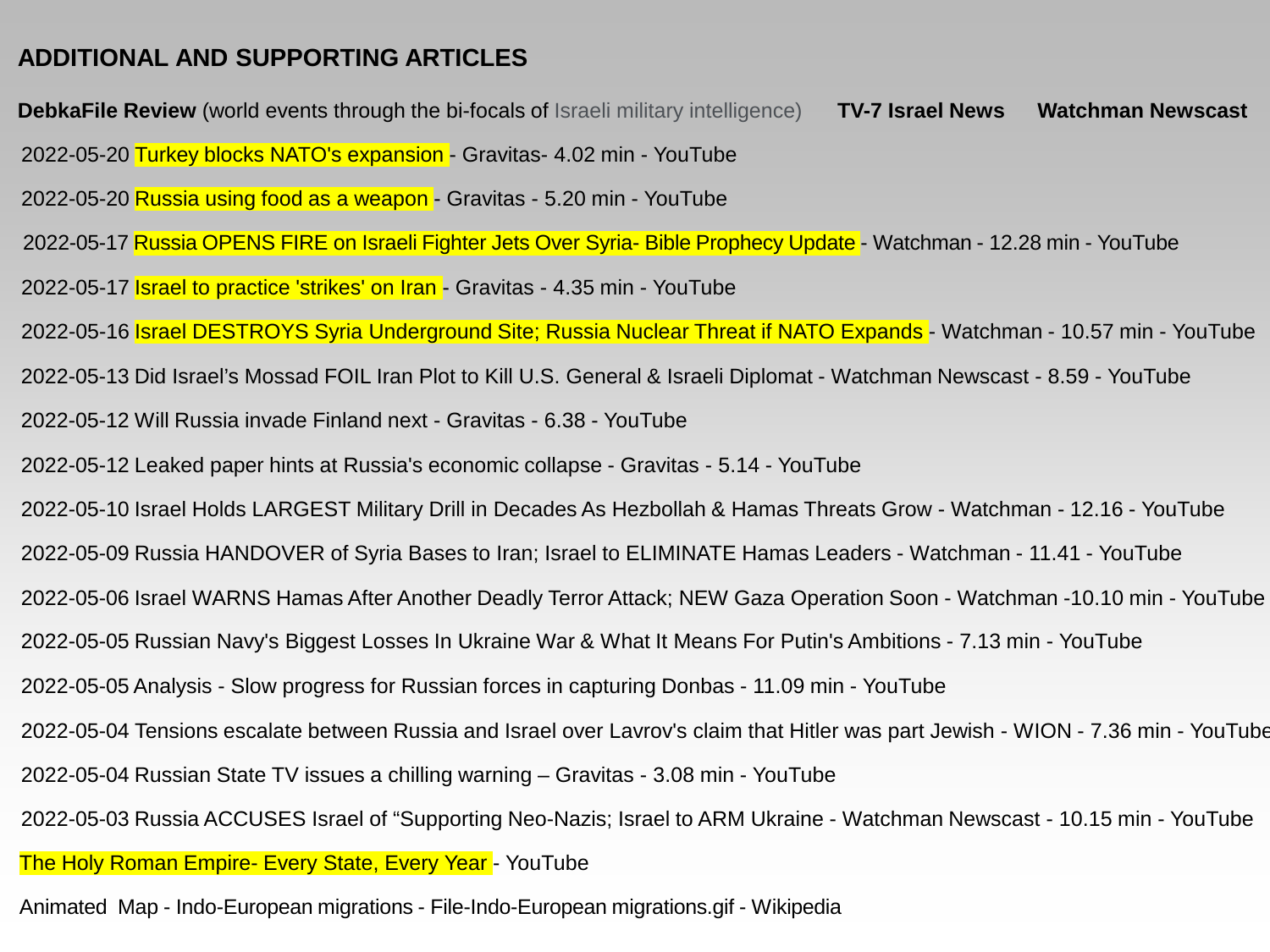#### <span id="page-7-0"></span>**[ADDITIONAL AND SUPPORTING ARTICLES](#page-0-0)**

**DebkaFile Review** [\(world events through the bi-focals of Israeli military intelligence\)](https://www.debka.com/review/) [2022-05-12 Will Russia invade Finland next -](https://www.youtube.com/watch?v=wm1PfiUXF6k) Gravitas - 6.38 - YouTube [2022-05-20 Turkey blocks NATO's expansion -](https://www.youtube.com/watch?v=wn5KvS6a190) Gravitas- 4.02 min - YouTube 2022-05-05 Analysis - [Slow progress for Russian forces in capturing Donbas -](https://www.youtube.com/watch?v=C2ecZMLTb3M) 11.09 min - YouTube [2022-05-04 Russian State TV issues a chilling warning –](https://www.youtube.com/watch?v=45CEza79Dj0) Gravitas - 3.08 min - YouTube [2022-05-04 Tensions escalate between Russia and Israel over Lavrov's claim that Hitler was part Jewish -](https://www.youtube.com/watch?v=ln3kLKeEnew) WION - 7.36 min - YouTube [2022-05-17 Israel to practice 'strikes' on Iran -](https://www.youtube.com/watch?v=FvvxeLsQ7so) Gravitas - 4.35 min - YouTube [2022-05-10 Israel Holds LARGEST Military Drill in Decades As Hezbollah & Hamas Threats Grow -](https://www.youtube.com/watch?v=wmz7AIcQkYA) Watchman - 12.16 - YouTube [2022-05-12 Leaked paper hints at Russia's economic collapse -](https://www.youtube.com/watch?v=Vdx07VkJqfA) Gravitas - 5.14 - YouTube [2022-05-09 Russia HANDOVER of Syria Bases to Iran; Israel to ELIMINATE Hamas Leaders -](https://www.youtube.com/watch?v=MwffUe1SeKE) Watchman - 11.41 - YouTube [2022-05-13 Did Israel's Mossad FOIL Iran Plot to Kill U.S. General & Israeli Diplomat -](https://www.youtube.com/watch?v=OpzUYoINIVE) Watchman Newscast - 8.59 - YouTube [The Holy Roman Empire-](https://www.youtube.com/watch?v=_DzOH98Q6TQ&t=95s) Every State, Every Year - YouTube **[TV-7 Israel News](https://www.youtube.com/watch?v=gzvrBjIeGP4)**  [2022-05-03 Russia ACCUSES Israel of "Supporting Neo-Nazis; Israel to ARM Ukraine -](https://www.youtube.com/watch?v=vNO4W7xcMnk) Watchman Newscast - 10.15 min - YouTube **[Watchman Newscast](https://www.youtube.com/channel/UCD8YGIxFCnVqv-ZGqgtVWAg)**  [2022-05-05 Russian Navy's Biggest Losses In Ukraine War & What It Means For Putin's Ambitions -](https://www.youtube.com/watch?v=1drpf1OTg_Q) 7.13 min - YouTube [2022-05-16 Israel DESTROYS Syria Underground Site; Russia Nuclear Threat if NATO Expands -](https://www.youtube.com/watch?v=LftU2XqTXLM) Watchman - 10.57 min - YouTube [2022-05-20 Russia using food as a weapon -](https://www.youtube.com/watch?v=BReYVzJQSok) Gravitas - 5.20 min - YouTube [2022-05-17 Russia OPENS FIRE on Israeli Fighter Jets Over Syria-](https://www.youtube.com/watch?v=ydMB4RFhnUo) Bible Prophecy Update - Watchman - 12.28 min - YouTube [2022-05-06 Israel WARNS Hamas After Another Deadly Terror Attack; NEW Gaza Operation Soon -](https://www.youtube.com/watch?v=TudI5F9-0s8) Watchman -10.10 min - YouTube

Animated Map - Indo-European migrations - [File-Indo-European migrations.gif -](https://en.wikipedia.org/wiki/File:Indo-European_migrations.gif#/media/File:Indo-European_migrations.gif) Wikipedia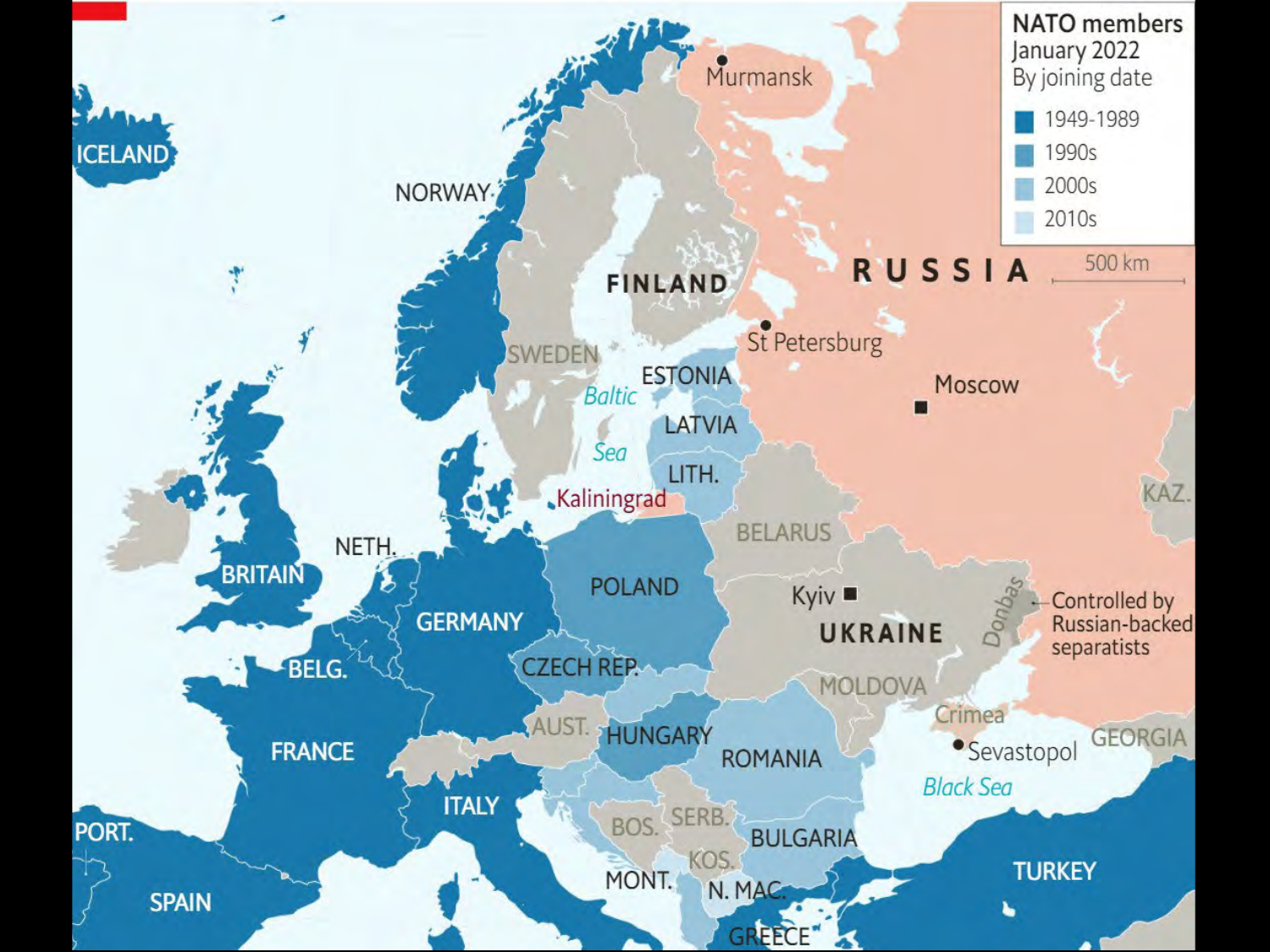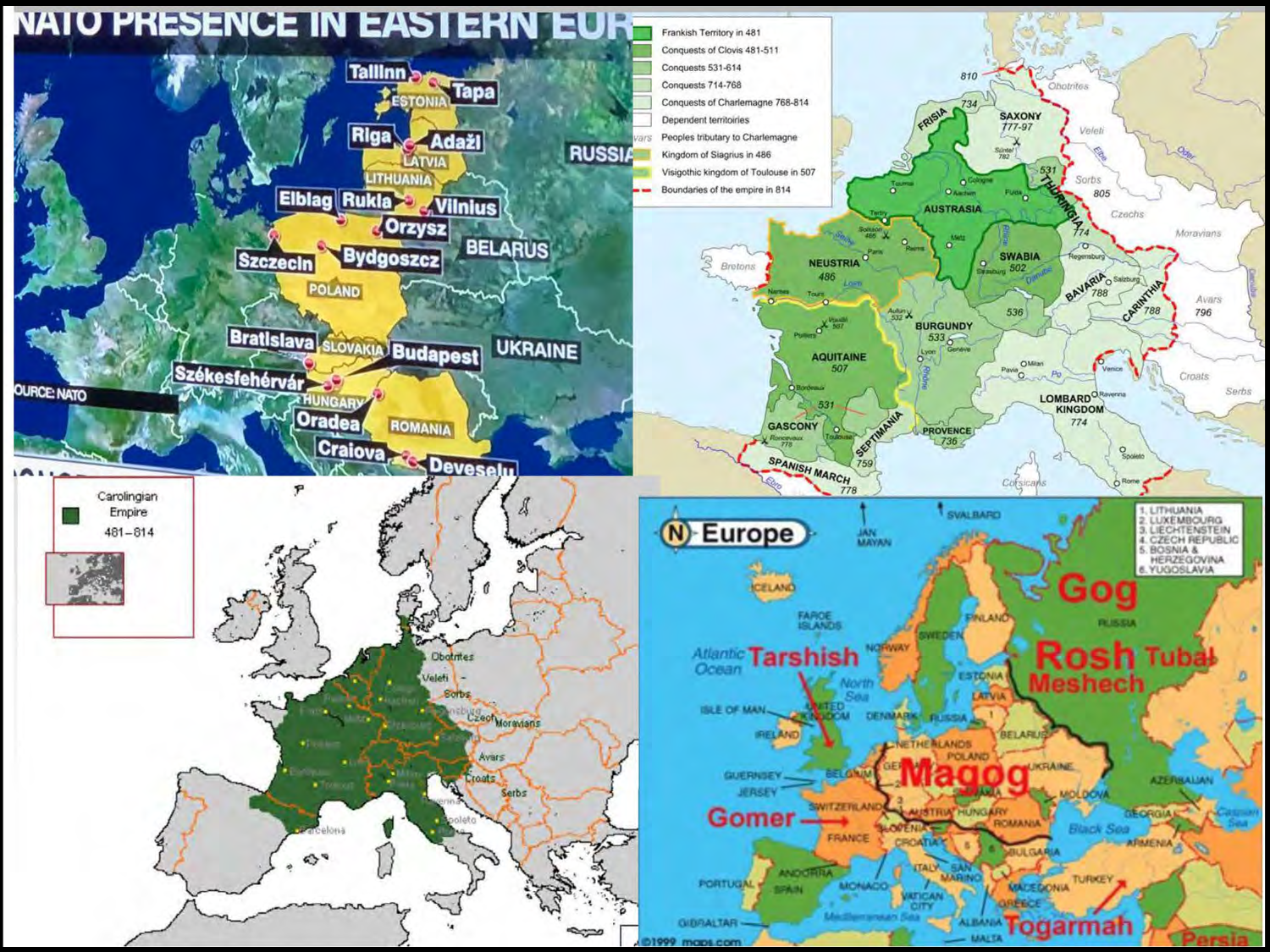